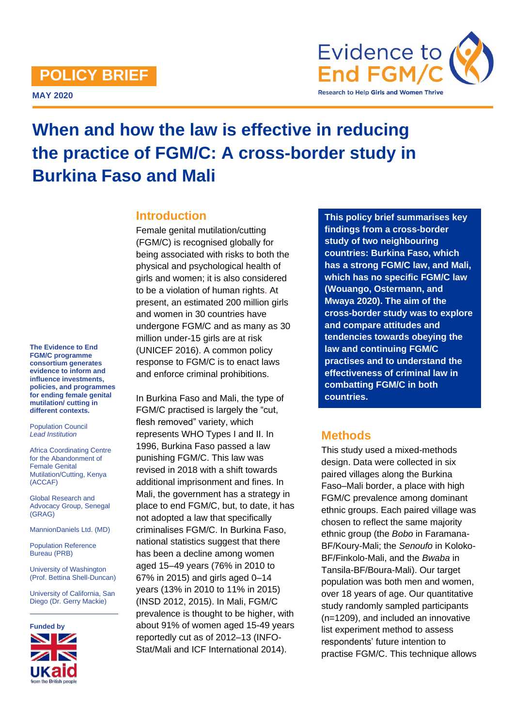## **POLICY BRIEF**

**MAY 2020**



# **When and how the law is effective in reducing the practice of FGM/C: A cross-border study in Burkina Faso and Mali**

#### **Introduction**

Female genital mutilation/cutting (FGM/C) is recognised globally for being associated with risks to both the physical and psychological health of girls and women; it is also considered to be a violation of human rights. At present, an estimated 200 million girls and women in 30 countries have undergone FGM/C and as many as 30 million under-15 girls are at risk (UNICEF 2016). A common policy response to FGM/C is to enact laws and enforce criminal prohibitions.

In Burkina Faso and Mali, the type of FGM/C practised is largely the "cut, flesh removed" variety, which represents WHO Types I and II. In 1996, Burkina Faso passed a law punishing FGM/C. This law was revised in 2018 with a shift towards additional imprisonment and fines. In Mali, the government has a strategy in place to end FGM/C, but, to date, it has not adopted a law that specifically criminalises FGM/C. In Burkina Faso, national statistics suggest that there has been a decline among women aged 15–49 years (76% in 2010 to 67% in 2015) and girls aged 0–14 years (13% in 2010 to 11% in 2015) (INSD 2012, 2015). In Mali, FGM/C prevalence is thought to be higher, with about 91% of women aged 15-49 years reportedly cut as of 2012–13 (INFO-Stat/Mali and ICF International 2014).

**This policy brief summarises key findings from a cross-border study of two neighbouring countries: Burkina Faso, which has a strong FGM/C law, and Mali, which has no specific FGM/C law (Wouango, Ostermann, and Mwaya 2020). The aim of the cross-border study was to explore and compare attitudes and tendencies towards obeying the law and continuing FGM/C practises and to understand the effectiveness of criminal law in combatting FGM/C in both countries.**

### **Methods**

This study used a mixed-methods design. Data were collected in six paired villages along the Burkina Faso–Mali border, a place with high FGM/C prevalence among dominant ethnic groups. Each paired village was chosen to reflect the same majority ethnic group (the *Bobo* in Faramana-BF/Koury-Mali; the *Senoufo* in Koloko-BF/Finkolo-Mali, and the *Bwaba* in Tansila-BF/Boura-Mali). Our target population was both men and women, over 18 years of age. Our quantitative study randomly sampled participants (n=1209), and included an innovative list experiment method to assess respondents' future intention to practise FGM/C. This technique allows

**The Evidence to End FGM/C programme consortium generates evidence to inform and influence investments, policies, and programmes for ending female genital mutilation/ cutting in different contexts.** 

Population Council *Lead Institution*

Africa Coordinating Centre for the Abandonment of Female Genital Mutilation/Cutting, Kenya (ACCAF)

Global Research and Advocacy Group, Senegal (GRAG)

MannionDaniels Ltd. (MD)

Population Reference Bureau (PRB)

University of Washington (Prof. Bettina Shell-Duncan)

University of California, San Diego (Dr. Gerry Mackie)

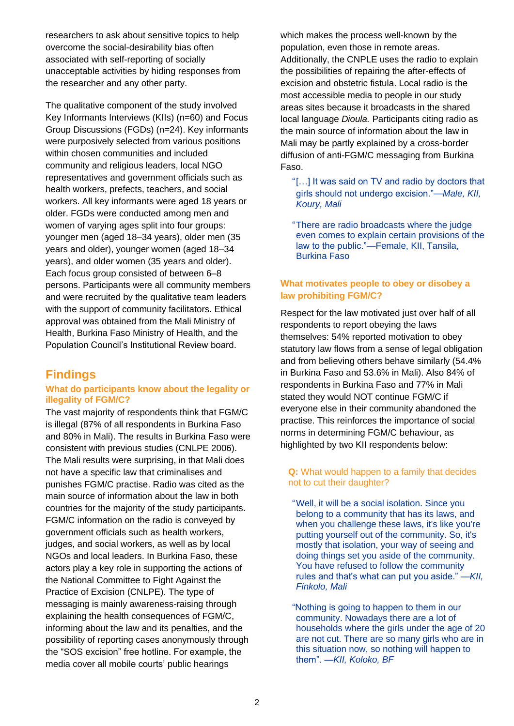researchers to ask about sensitive topics to help overcome the social-desirability bias often associated with self-reporting of socially unacceptable activities by hiding responses from the researcher and any other party.

The qualitative component of the study involved Key Informants Interviews (KIIs) (n=60) and Focus Group Discussions (FGDs) (n=24). Key informants were purposively selected from various positions within chosen communities and included community and religious leaders, local NGO representatives and government officials such as health workers, prefects, teachers, and social workers. All key informants were aged 18 years or older. FGDs were conducted among men and women of varying ages split into four groups: younger men (aged 18–34 years), older men (35 years and older), younger women (aged 18–34 years), and older women (35 years and older). Each focus group consisted of between 6–8 persons. Participants were all community members and were recruited by the qualitative team leaders with the support of community facilitators. Ethical approval was obtained from the Mali Ministry of Health, Burkina Faso Ministry of Health, and the Population Council's Institutional Review board.

## **Findings**

#### **What do participants know about the legality or illegality of FGM/C?**

The vast majority of respondents think that FGM/C is illegal (87% of all respondents in Burkina Faso and 80% in Mali). The results in Burkina Faso were consistent with previous studies (CNLPE 2006). The Mali results were surprising, in that Mali does not have a specific law that criminalises and punishes FGM/C practise. Radio was cited as the main source of information about the law in both countries for the majority of the study participants. FGM/C information on the radio is conveyed by government officials such as health workers, judges, and social workers, as well as by local NGOs and local leaders. In Burkina Faso, these actors play a key role in supporting the actions of the National Committee to Fight Against the Practice of Excision (CNLPE). The type of messaging is mainly awareness-raising through explaining the health consequences of FGM/C, informing about the law and its penalties, and the possibility of reporting cases anonymously through the "SOS excision" free hotline. For example, the media cover all mobile courts' public hearings

which makes the process well-known by the population, even those in remote areas. Additionally, the CNPLE uses the radio to explain the possibilities of repairing the after-effects of excision and obstetric fistula. Local radio is the most accessible media to people in our study areas sites because it broadcasts in the shared local language *Dioula.* Participants citing radio as the main source of information about the law in Mali may be partly explained by a cross-border diffusion of anti-FGM/C messaging from Burkina Faso.

"[…] It was said on TV and radio by doctors that girls should not undergo excision."—*Male, KII, Koury, Mali*

"There are radio broadcasts where the judge even comes to explain certain provisions of the law to the public."—Female, KII, Tansila, Burkina Faso

#### **What motivates people to obey or disobey a law prohibiting FGM/C?**

Respect for the law motivated just over half of all respondents to report obeying the laws themselves: 54% reported motivation to obey statutory law flows from a sense of legal obligation and from believing others behave similarly (54.4% in Burkina Faso and 53.6% in Mali). Also 84% of respondents in Burkina Faso and 77% in Mali stated they would NOT continue FGM/C if everyone else in their community abandoned the practise. This reinforces the importance of social norms in determining FGM/C behaviour, as highlighted by two KII respondents below:

#### **Q:** What would happen to a family that decides not to cut their daughter?

"Well, it will be a social isolation. Since you belong to a community that has its laws, and when you challenge these laws, it's like you're putting yourself out of the community. So, it's mostly that isolation, your way of seeing and doing things set you aside of the community. You have refused to follow the community rules and that's what can put you aside." *—KII, Finkolo, Mali*

"Nothing is going to happen to them in our community. Nowadays there are a lot of households where the girls under the age of 20 are not cut. There are so many girls who are in this situation now, so nothing will happen to them". *—KII, Koloko, BF*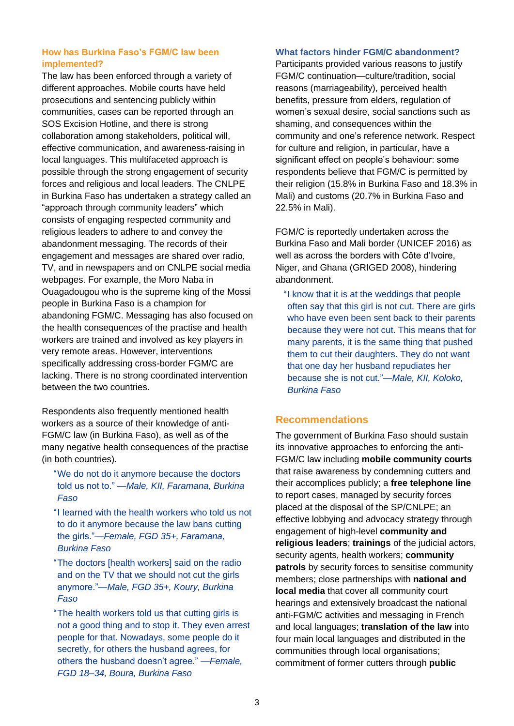#### **How has Burkina Faso's FGM/C law been implemented?**

The law has been enforced through a variety of different approaches. Mobile courts have held prosecutions and sentencing publicly within communities, cases can be reported through an SOS Excision Hotline, and there is strong collaboration among stakeholders, political will, effective communication, and awareness-raising in local languages. This multifaceted approach is possible through the strong engagement of security forces and religious and local leaders. The CNLPE in Burkina Faso has undertaken a strategy called an "approach through community leaders" which consists of engaging respected community and religious leaders to adhere to and convey the abandonment messaging. The records of their engagement and messages are shared over radio, TV, and in newspapers and on CNLPE social media webpages. For example, the Moro Naba in Ouagadougou who is the supreme king of the Mossi people in Burkina Faso is a champion for abandoning FGM/C. Messaging has also focused on the health consequences of the practise and health workers are trained and involved as key players in very remote areas. However, interventions specifically addressing cross-border FGM/C are lacking. There is no strong coordinated intervention between the two countries.

Respondents also frequently mentioned health workers as a source of their knowledge of anti-FGM/C law (in Burkina Faso), as well as of the many negative health consequences of the practise (in both countries).

- "We do not do it anymore because the doctors told us not to." *—Male, KII, Faramana, Burkina Faso*
- "I learned with the health workers who told us not to do it anymore because the law bans cutting the girls."*—Female, FGD 35+, Faramana, Burkina Faso*
- "The doctors [health workers] said on the radio and on the TV that we should not cut the girls anymore."—*Male, FGD 35+, Koury, Burkina Faso*
- "The health workers told us that cutting girls is not a good thing and to stop it. They even arrest people for that. Nowadays, some people do it secretly, for others the husband agrees, for others the husband doesn't agree." *—Female, FGD 18–34, Boura, Burkina Faso*

#### **What factors hinder FGM/C abandonment?**

Participants provided various reasons to justify FGM/C continuation*—*culture/tradition, social reasons (marriageability), perceived health benefits, pressure from elders, regulation of women's sexual desire, social sanctions such as shaming, and consequences within the community and one's reference network. Respect for culture and religion, in particular, have a significant effect on people's behaviour: some respondents believe that FGM/C is permitted by their religion (15.8% in Burkina Faso and 18.3% in Mali) and customs (20.7% in Burkina Faso and 22.5% in Mali).

FGM/C is reportedly undertaken across the Burkina Faso and Mali border (UNICEF 2016) as well as across the borders with Côte d'Ivoire, Niger, and Ghana (GRIGED 2008), hindering abandonment.

"I know that it is at the weddings that people often say that this girl is not cut. There are girls who have even been sent back to their parents because they were not cut. This means that for many parents, it is the same thing that pushed them to cut their daughters. They do not want that one day her husband repudiates her because she is not cut."—*Male, KII, Koloko, Burkina Faso*

#### **Recommendations**

The government of Burkina Faso should sustain its innovative approaches to enforcing the anti-FGM/C law including **mobile community courts** that raise awareness by condemning cutters and their accomplices publicly; a **free telephone line** to report cases, managed by security forces placed at the disposal of the SP/CNLPE; an effective lobbying and advocacy strategy through engagement of high-level **community and religious leaders**; **trainings** of the judicial actors, security agents, health workers; **community patrols** by security forces to sensitise community members; close partnerships with **national and local media** that cover all community court hearings and extensively broadcast the national anti-FGM/C activities and messaging in French and local languages; **translation of the law** into four main local languages and distributed in the communities through local organisations; commitment of former cutters through **public**